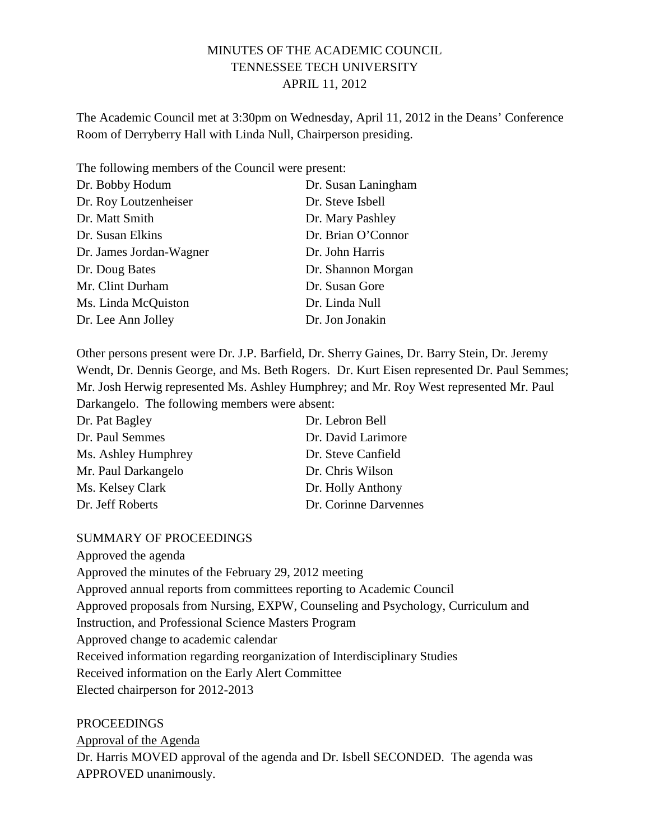## MINUTES OF THE ACADEMIC COUNCIL TENNESSEE TECH UNIVERSITY APRIL 11, 2012

The Academic Council met at 3:30pm on Wednesday, April 11, 2012 in the Deans' Conference Room of Derryberry Hall with Linda Null, Chairperson presiding.

The following members of the Council were present: Dr. Bobby Hodum Dr. Susan Laningham Dr. Roy Loutzenheiser Dr. Steve Isbell Dr. Matt Smith Dr. Mary Pashley Dr. Susan Elkins Dr. Brian O'Connor Dr. James Jordan-Wagner Dr. John Harris Dr. Doug Bates Dr. Shannon Morgan Mr. Clint Durham Dr. Susan Gore Ms. Linda McQuiston Dr. Linda Null Dr. Lee Ann Jolley Dr. Jon Jonakin

Other persons present were Dr. J.P. Barfield, Dr. Sherry Gaines, Dr. Barry Stein, Dr. Jeremy Wendt, Dr. Dennis George, and Ms. Beth Rogers. Dr. Kurt Eisen represented Dr. Paul Semmes; Mr. Josh Herwig represented Ms. Ashley Humphrey; and Mr. Roy West represented Mr. Paul Darkangelo. The following members were absent:

| Dr. Pat Bagley      | Dr. Lebron Bell       |
|---------------------|-----------------------|
| Dr. Paul Semmes     | Dr. David Larimore    |
| Ms. Ashley Humphrey | Dr. Steve Canfield    |
| Mr. Paul Darkangelo | Dr. Chris Wilson      |
| Ms. Kelsey Clark    | Dr. Holly Anthony     |
| Dr. Jeff Roberts    | Dr. Corinne Darvennes |

#### SUMMARY OF PROCEEDINGS

Approved the agenda Approved the minutes of the February 29, 2012 meeting Approved annual reports from committees reporting to Academic Council Approved proposals from Nursing, EXPW, Counseling and Psychology, Curriculum and Instruction, and Professional Science Masters Program Approved change to academic calendar Received information regarding reorganization of Interdisciplinary Studies Received information on the Early Alert Committee Elected chairperson for 2012-2013

PROCEEDINGS

Approval of the Agenda

Dr. Harris MOVED approval of the agenda and Dr. Isbell SECONDED. The agenda was APPROVED unanimously.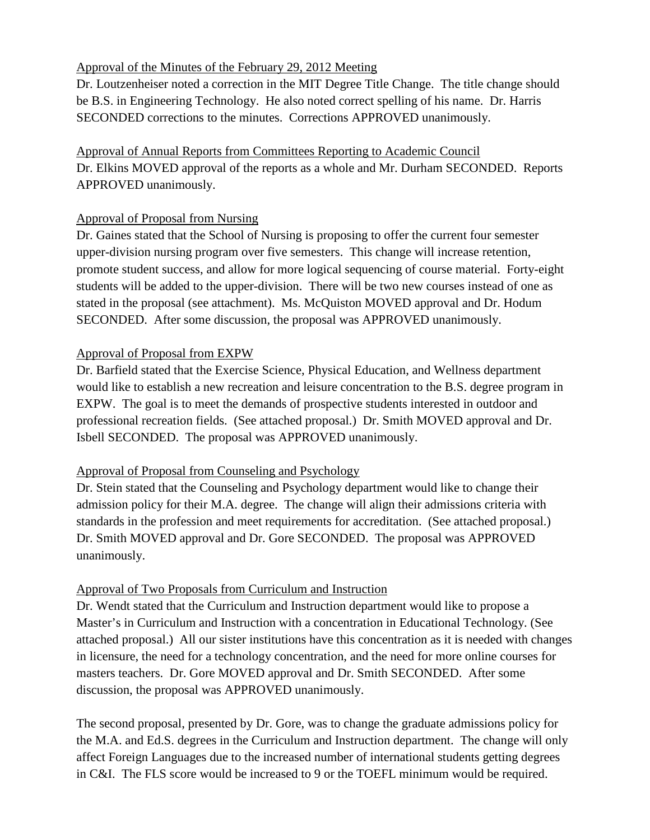# Approval of the Minutes of the February 29, 2012 Meeting

Dr. Loutzenheiser noted a correction in the MIT Degree Title Change. The title change should be B.S. in Engineering Technology. He also noted correct spelling of his name. Dr. Harris SECONDED corrections to the minutes. Corrections APPROVED unanimously.

Approval of Annual Reports from Committees Reporting to Academic Council Dr. Elkins MOVED approval of the reports as a whole and Mr. Durham SECONDED. Reports APPROVED unanimously.

## Approval of Proposal from Nursing

Dr. Gaines stated that the School of Nursing is proposing to offer the current four semester upper-division nursing program over five semesters. This change will increase retention, promote student success, and allow for more logical sequencing of course material. Forty-eight students will be added to the upper-division. There will be two new courses instead of one as stated in the proposal (see attachment). Ms. McQuiston MOVED approval and Dr. Hodum SECONDED. After some discussion, the proposal was APPROVED unanimously.

## Approval of Proposal from EXPW

Dr. Barfield stated that the Exercise Science, Physical Education, and Wellness department would like to establish a new recreation and leisure concentration to the B.S. degree program in EXPW. The goal is to meet the demands of prospective students interested in outdoor and professional recreation fields. (See attached proposal.) Dr. Smith MOVED approval and Dr. Isbell SECONDED. The proposal was APPROVED unanimously.

# Approval of Proposal from Counseling and Psychology

Dr. Stein stated that the Counseling and Psychology department would like to change their admission policy for their M.A. degree. The change will align their admissions criteria with standards in the profession and meet requirements for accreditation. (See attached proposal.) Dr. Smith MOVED approval and Dr. Gore SECONDED. The proposal was APPROVED unanimously.

# Approval of Two Proposals from Curriculum and Instruction

Dr. Wendt stated that the Curriculum and Instruction department would like to propose a Master's in Curriculum and Instruction with a concentration in Educational Technology. (See attached proposal.) All our sister institutions have this concentration as it is needed with changes in licensure, the need for a technology concentration, and the need for more online courses for masters teachers. Dr. Gore MOVED approval and Dr. Smith SECONDED. After some discussion, the proposal was APPROVED unanimously.

The second proposal, presented by Dr. Gore, was to change the graduate admissions policy for the M.A. and Ed.S. degrees in the Curriculum and Instruction department. The change will only affect Foreign Languages due to the increased number of international students getting degrees in C&I. The FLS score would be increased to 9 or the TOEFL minimum would be required.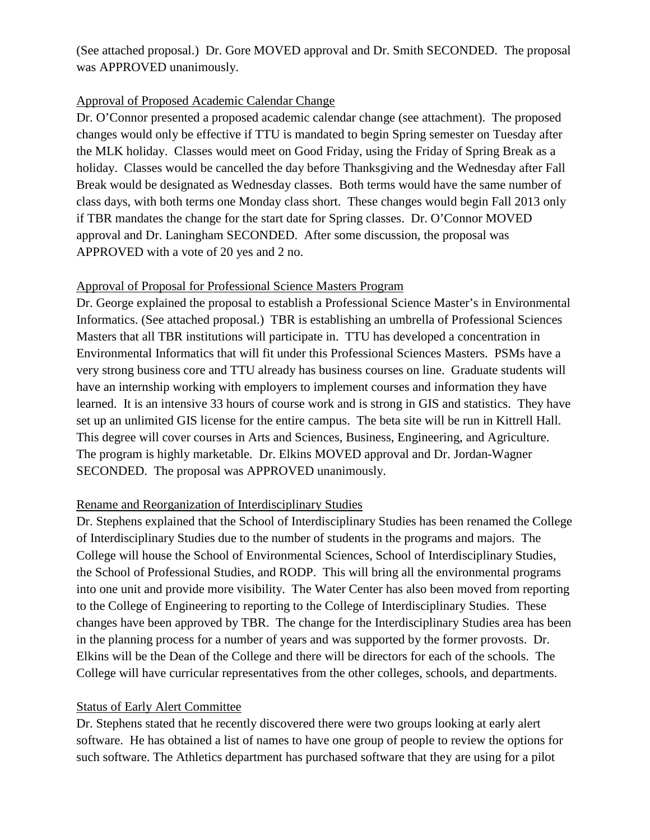(See attached proposal.) Dr. Gore MOVED approval and Dr. Smith SECONDED. The proposal was APPROVED unanimously.

### Approval of Proposed Academic Calendar Change

Dr. O'Connor presented a proposed academic calendar change (see attachment). The proposed changes would only be effective if TTU is mandated to begin Spring semester on Tuesday after the MLK holiday. Classes would meet on Good Friday, using the Friday of Spring Break as a holiday. Classes would be cancelled the day before Thanksgiving and the Wednesday after Fall Break would be designated as Wednesday classes. Both terms would have the same number of class days, with both terms one Monday class short. These changes would begin Fall 2013 only if TBR mandates the change for the start date for Spring classes. Dr. O'Connor MOVED approval and Dr. Laningham SECONDED. After some discussion, the proposal was APPROVED with a vote of 20 yes and 2 no.

#### Approval of Proposal for Professional Science Masters Program

Dr. George explained the proposal to establish a Professional Science Master's in Environmental Informatics. (See attached proposal.) TBR is establishing an umbrella of Professional Sciences Masters that all TBR institutions will participate in. TTU has developed a concentration in Environmental Informatics that will fit under this Professional Sciences Masters. PSMs have a very strong business core and TTU already has business courses on line. Graduate students will have an internship working with employers to implement courses and information they have learned. It is an intensive 33 hours of course work and is strong in GIS and statistics. They have set up an unlimited GIS license for the entire campus. The beta site will be run in Kittrell Hall. This degree will cover courses in Arts and Sciences, Business, Engineering, and Agriculture. The program is highly marketable. Dr. Elkins MOVED approval and Dr. Jordan-Wagner SECONDED. The proposal was APPROVED unanimously.

## Rename and Reorganization of Interdisciplinary Studies

Dr. Stephens explained that the School of Interdisciplinary Studies has been renamed the College of Interdisciplinary Studies due to the number of students in the programs and majors. The College will house the School of Environmental Sciences, School of Interdisciplinary Studies, the School of Professional Studies, and RODP. This will bring all the environmental programs into one unit and provide more visibility. The Water Center has also been moved from reporting to the College of Engineering to reporting to the College of Interdisciplinary Studies. These changes have been approved by TBR. The change for the Interdisciplinary Studies area has been in the planning process for a number of years and was supported by the former provosts. Dr. Elkins will be the Dean of the College and there will be directors for each of the schools. The College will have curricular representatives from the other colleges, schools, and departments.

#### Status of Early Alert Committee

Dr. Stephens stated that he recently discovered there were two groups looking at early alert software. He has obtained a list of names to have one group of people to review the options for such software. The Athletics department has purchased software that they are using for a pilot